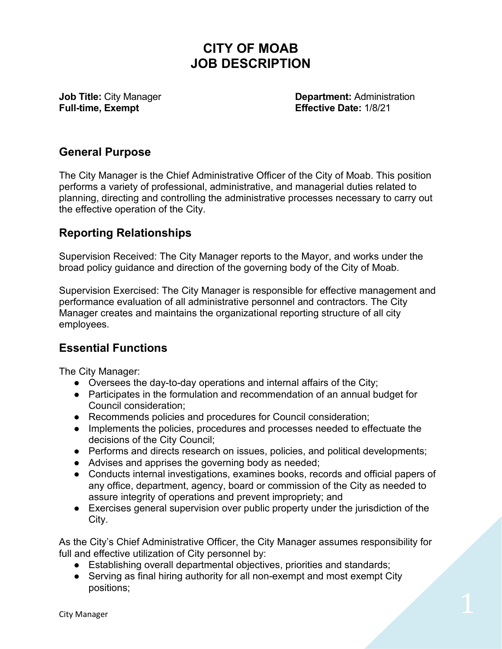# **CITY OF MOAB JOB DESCRIPTION**

**Full-time, Exempt** 

**Job Title:** City Manager **Department:** Administration<br> **Pull-time. Exempt Contract Contract Contract Contract Contract Contract Contract Contract Contract Contract Contra<br>
Effective Date: 1/8/21** 

#### **General Purpose**

The City Manager is the Chief Administrative Officer of the City of Moab. This position performs a variety of professional, administrative, and managerial duties related to planning, directing and controlling the administrative processes necessary to carry out the effective operation of the City.

### **Reporting Relationships**

Supervision Received: The City Manager reports to the Mayor, and works under the broad policy guidance and direction of the governing body of the City of Moab.

Supervision Exercised: The City Manager is responsible for effective management and performance evaluation of all administrative personnel and contractors. The City Manager creates and maintains the organizational reporting structure of all city employees.

### **Essential Functions**

The City Manager:

- Oversees the day-to-day operations and internal affairs of the City;
- Participates in the formulation and recommendation of an annual budget for Council consideration;
- Recommends policies and procedures for Council consideration;
- Implements the policies, procedures and processes needed to effectuate the decisions of the City Council;
- Performs and directs research on issues, policies, and political developments;
- Advises and apprises the governing body as needed;
- Conducts internal investigations, examines books, records and official papers of any office, department, agency, board or commission of the City as needed to assure integrity of operations and prevent impropriety; and
- Exercises general supervision over public property under the jurisdiction of the City.

As the City's Chief Administrative Officer, the City Manager assumes responsibility for full and effective utilization of City personnel by:

- Establishing overall departmental objectives, priorities and standards;
- Serving as final hiring authority for all non-exempt and most exempt City positions;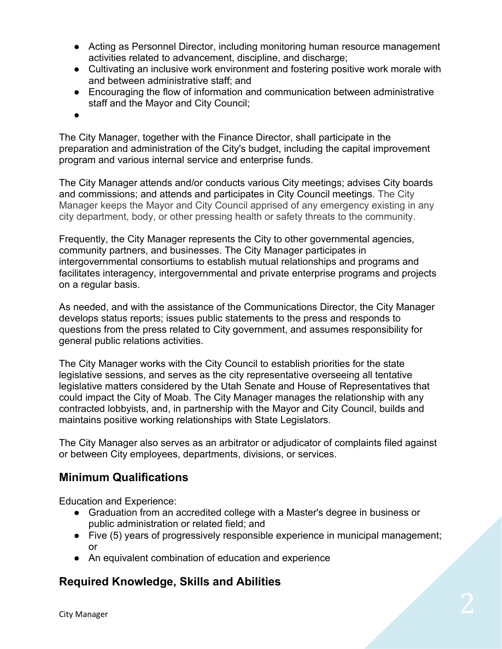- Acting as Personnel Director, including monitoring human resource management activities related to advancement, discipline, and discharge;
- Cultivating an inclusive work environment and fostering positive work morale with and between administrative staff; and
- Encouraging the flow of information and communication between administrative staff and the Mayor and City Council;
- ●

The City Manager, together with the Finance Director, shall participate in the preparation and administration of the City's budget, including the capital improvement program and various internal service and enterprise funds.

The City Manager attends and/or conducts various City meetings; advises City boards and commissions; and attends and participates in City Council meetings. The City Manager keeps the Mayor and City Council apprised of any emergency existing in any city department, body, or other pressing health or safety threats to the community.

Frequently, the City Manager represents the City to other governmental agencies, community partners, and businesses. The City Manager participates in intergovernmental consortiums to establish mutual relationships and programs and facilitates interagency, intergovernmental and private enterprise programs and projects on a regular basis.

As needed, and with the assistance of the Communications Director, the City Manager develops status reports; issues public statements to the press and responds to questions from the press related to City government, and assumes responsibility for general public relations activities.

The City Manager works with the City Council to establish priorities for the state legislative sessions, and serves as the city representative overseeing all tentative legislative matters considered by the Utah Senate and House of Representatives that could impact the City of Moab. The City Manager manages the relationship with any contracted lobbyists, and, in partnership with the Mayor and City Council, builds and maintains positive working relationships with State Legislators.

The City Manager also serves as an arbitrator or adjudicator of complaints filed against or between City employees, departments, divisions, or services.

### **Minimum Qualifications**

Education and Experience:

- Graduation from an accredited college with a Master's degree in business or public administration or related field; and
- Five (5) years of progressively responsible experience in municipal management; or
- An equivalent combination of education and experience

## **Required Knowledge, Skills and Abilities**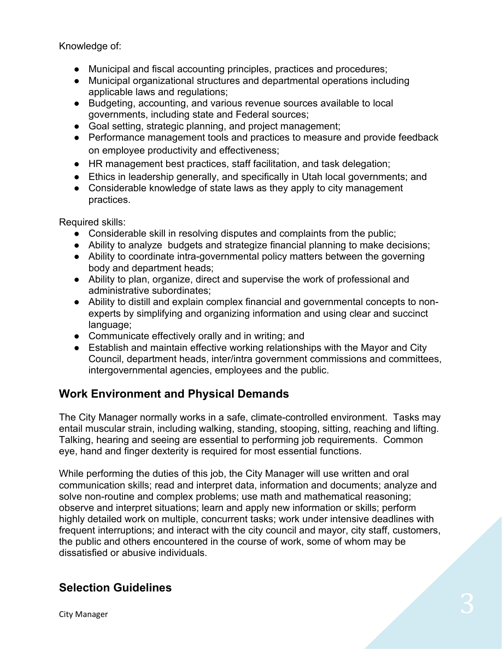Knowledge of:

- Municipal and fiscal accounting principles, practices and procedures;
- Municipal organizational structures and departmental operations including applicable laws and regulations;
- Budgeting, accounting, and various revenue sources available to local governments, including state and Federal sources;
- Goal setting, strategic planning, and project management;
- Performance management tools and practices to measure and provide feedback on employee productivity and effectiveness;
- HR management best practices, staff facilitation, and task delegation;
- Ethics in leadership generally, and specifically in Utah local governments; and
- Considerable knowledge of state laws as they apply to city management practices.

Required skills:

- Considerable skill in resolving disputes and complaints from the public;
- Ability to analyze budgets and strategize financial planning to make decisions;
- Ability to coordinate intra-governmental policy matters between the governing body and department heads;
- Ability to plan, organize, direct and supervise the work of professional and administrative subordinates;
- Ability to distill and explain complex financial and governmental concepts to nonexperts by simplifying and organizing information and using clear and succinct language;
- Communicate effectively orally and in writing; and
- Establish and maintain effective working relationships with the Mayor and City Council, department heads, inter/intra government commissions and committees, intergovernmental agencies, employees and the public.

## **Work Environment and Physical Demands**

The City Manager normally works in a safe, climate-controlled environment. Tasks may entail muscular strain, including walking, standing, stooping, sitting, reaching and lifting. Talking, hearing and seeing are essential to performing job requirements. Common eye, hand and finger dexterity is required for most essential functions.

While performing the duties of this job, the City Manager will use written and oral communication skills; read and interpret data, information and documents; analyze and solve non-routine and complex problems; use math and mathematical reasoning; observe and interpret situations; learn and apply new information or skills; perform highly detailed work on multiple, concurrent tasks; work under intensive deadlines with frequent interruptions; and interact with the city council and mayor, city staff, customers, the public and others encountered in the course of work, some of whom may be dissatisfied or abusive individuals.

## **Selection Guidelines**